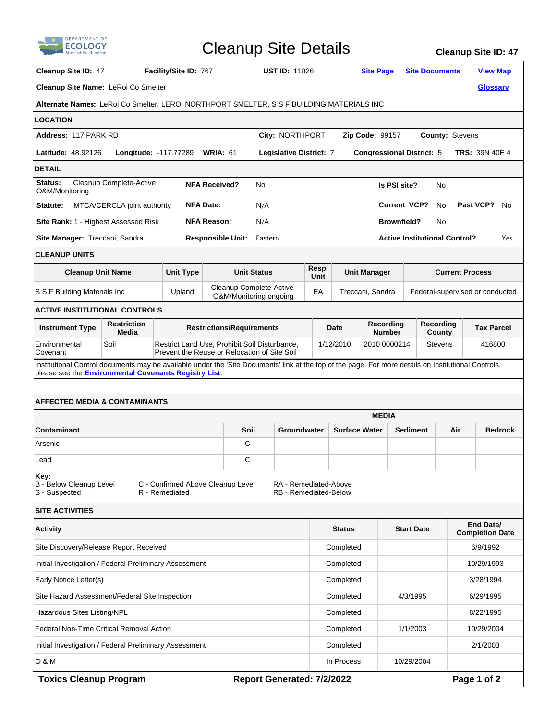| <b>DEPARTMENT OF</b>                                                                                                                                                                                                                           |                                                                                                                      |                                                                                               | <b>Cleanup Site Details</b>                       |                      |                            |                           |                                                  |                                              |                        |                                          | <b>Cleanup Site ID: 47</b>          |  |
|------------------------------------------------------------------------------------------------------------------------------------------------------------------------------------------------------------------------------------------------|----------------------------------------------------------------------------------------------------------------------|-----------------------------------------------------------------------------------------------|---------------------------------------------------|----------------------|----------------------------|---------------------------|--------------------------------------------------|----------------------------------------------|------------------------|------------------------------------------|-------------------------------------|--|
| Cleanup Site ID: 47                                                                                                                                                                                                                            | Facility/Site ID: 767                                                                                                |                                                                                               |                                                   | <b>UST ID: 11826</b> |                            |                           | <b>Site Page</b>                                 |                                              |                        | <b>Site Documents</b><br><b>View Map</b> |                                     |  |
| Cleanup Site Name: LeRoi Co Smelter<br><b>Glossary</b>                                                                                                                                                                                         |                                                                                                                      |                                                                                               |                                                   |                      |                            |                           |                                                  |                                              |                        |                                          |                                     |  |
| Alternate Names: LeRoi Co Smelter, LEROI NORTHPORT SMELTER, S S F BUILDING MATERIALS INC                                                                                                                                                       |                                                                                                                      |                                                                                               |                                                   |                      |                            |                           |                                                  |                                              |                        |                                          |                                     |  |
| <b>LOCATION</b>                                                                                                                                                                                                                                |                                                                                                                      |                                                                                               |                                                   |                      |                            |                           |                                                  |                                              |                        |                                          |                                     |  |
| Address: 117 PARK RD<br>City: NORTHPORT                                                                                                                                                                                                        |                                                                                                                      |                                                                                               |                                                   |                      |                            |                           | <b>County: Stevens</b><br><b>Zip Code: 99157</b> |                                              |                        |                                          |                                     |  |
| <b>Latitude: 48.92126</b><br>Longitude: -117.77289<br><b>WRIA: 61</b><br>Legislative District: 7                                                                                                                                               |                                                                                                                      |                                                                                               |                                                   |                      |                            |                           |                                                  | <b>Congressional District: 5</b>             |                        |                                          | <b>TRS: 39N 40E 4</b>               |  |
| <b>DETAIL</b>                                                                                                                                                                                                                                  |                                                                                                                      |                                                                                               |                                                   |                      |                            |                           |                                                  |                                              |                        |                                          |                                     |  |
| Status:<br>Cleanup Complete-Active<br>O&M/Monitoring                                                                                                                                                                                           | <b>NFA Received?</b>                                                                                                 | No                                                                                            |                                                   |                      |                            | Is PSI site?              | No                                               |                                              |                        |                                          |                                     |  |
| Statute:                                                                                                                                                                                                                                       | MTCA/CERCLA joint authority                                                                                          |                                                                                               | <b>NFA Date:</b>                                  | N/A                  |                            |                           |                                                  | <b>Current VCP?</b><br>Past VCP?<br>No<br>No |                        |                                          |                                     |  |
| <b>Site Rank: 1 - Highest Assessed Risk</b>                                                                                                                                                                                                    |                                                                                                                      |                                                                                               | <b>NFA Reason:</b>                                | N/A                  |                            |                           |                                                  |                                              | <b>Brownfield?</b>     | No                                       |                                     |  |
|                                                                                                                                                                                                                                                | Site Manager: Treccani, Sandra<br><b>Responsible Unit:</b><br><b>Active Institutional Control?</b><br>Eastern<br>Yes |                                                                                               |                                                   |                      |                            |                           |                                                  |                                              |                        |                                          |                                     |  |
| <b>CLEANUP UNITS</b>                                                                                                                                                                                                                           |                                                                                                                      |                                                                                               |                                                   |                      |                            |                           |                                                  |                                              |                        |                                          |                                     |  |
| <b>Cleanup Unit Name</b>                                                                                                                                                                                                                       |                                                                                                                      | <b>Unit Type</b>                                                                              |                                                   | <b>Unit Status</b>   |                            | Resp<br>Unit              |                                                  | <b>Unit Manager</b>                          |                        | <b>Current Process</b>                   |                                     |  |
| S S F Building Materials Inc                                                                                                                                                                                                                   |                                                                                                                      | Upland                                                                                        | Cleanup Complete-Active<br>O&M/Monitoring ongoing |                      |                            | EA                        |                                                  | Treccani, Sandra                             |                        |                                          | Federal-supervised or conducted     |  |
| <b>ACTIVE INSTITUTIONAL CONTROLS</b>                                                                                                                                                                                                           |                                                                                                                      |                                                                                               |                                                   |                      |                            |                           |                                                  |                                              |                        |                                          |                                     |  |
| <b>Instrument Type</b>                                                                                                                                                                                                                         | <b>Restriction</b><br>Media                                                                                          |                                                                                               | <b>Restrictions/Requirements</b>                  |                      |                            |                           | Date                                             | Recording<br><b>Number</b>                   |                        | Recording<br>County                      | <b>Tax Parcel</b>                   |  |
| Environmental<br>Covenant                                                                                                                                                                                                                      | Soil                                                                                                                 | Restrict Land Use, Prohibit Soil Disturbance,<br>Prevent the Reuse or Relocation of Site Soil |                                                   |                      |                            | 2010 0000214<br>1/12/2010 |                                                  |                                              | <b>Stevens</b>         | 416800                                   |                                     |  |
| Institutional Control documents may be available under the 'Site Documents' link at the top of the page. For more details on Institutional Controls,<br>please see the Environmental Covenants Registry List.<br>AFFECTED MEDIA & CONTAMINANTS |                                                                                                                      |                                                                                               |                                                   |                      |                            |                           |                                                  |                                              |                        |                                          |                                     |  |
|                                                                                                                                                                                                                                                |                                                                                                                      |                                                                                               |                                                   | <b>MEDIA</b>         |                            |                           |                                                  |                                              |                        |                                          |                                     |  |
| Contaminant                                                                                                                                                                                                                                    |                                                                                                                      |                                                                                               |                                                   | Soil<br>Groundwater  |                            | <b>Surface Water</b>      |                                                  |                                              | <b>Sediment</b><br>Air |                                          | <b>Bedrock</b>                      |  |
| Arsenic                                                                                                                                                                                                                                        |                                                                                                                      |                                                                                               | C                                                 |                      |                            |                           |                                                  |                                              |                        |                                          |                                     |  |
| Lead                                                                                                                                                                                                                                           |                                                                                                                      |                                                                                               | С                                                 |                      |                            |                           |                                                  |                                              |                        |                                          |                                     |  |
| Key:<br><b>B</b> - Below Cleanup Level<br>C - Confirmed Above Cleanup Level<br>RA - Remediated-Above<br>R - Remediated<br><b>RB</b> - Remediated-Below<br>S - Suspected                                                                        |                                                                                                                      |                                                                                               |                                                   |                      |                            |                           |                                                  |                                              |                        |                                          |                                     |  |
| <b>SITE ACTIVITIES</b>                                                                                                                                                                                                                         |                                                                                                                      |                                                                                               |                                                   |                      |                            |                           |                                                  |                                              |                        |                                          |                                     |  |
| <b>Activity</b>                                                                                                                                                                                                                                |                                                                                                                      |                                                                                               |                                                   |                      |                            |                           | <b>Status</b>                                    |                                              | <b>Start Date</b>      |                                          | End Date/<br><b>Completion Date</b> |  |
| Site Discovery/Release Report Received                                                                                                                                                                                                         |                                                                                                                      |                                                                                               |                                                   |                      |                            |                           | Completed                                        |                                              |                        |                                          | 6/9/1992                            |  |
| Initial Investigation / Federal Preliminary Assessment                                                                                                                                                                                         |                                                                                                                      |                                                                                               |                                                   |                      |                            |                           | Completed                                        |                                              |                        | 10/29/1993                               |                                     |  |
| Early Notice Letter(s)                                                                                                                                                                                                                         |                                                                                                                      |                                                                                               |                                                   |                      |                            |                           | Completed                                        |                                              | 3/28/1994              |                                          |                                     |  |
| Site Hazard Assessment/Federal Site Inspection                                                                                                                                                                                                 |                                                                                                                      |                                                                                               |                                                   |                      |                            |                           | Completed                                        |                                              | 4/3/1995               |                                          | 6/29/1995                           |  |
| Hazardous Sites Listing/NPL                                                                                                                                                                                                                    |                                                                                                                      |                                                                                               |                                                   |                      |                            |                           | Completed                                        |                                              |                        | 8/22/1995                                |                                     |  |
| Federal Non-Time Critical Removal Action                                                                                                                                                                                                       |                                                                                                                      |                                                                                               |                                                   |                      |                            |                           | Completed                                        |                                              | 1/1/2003               | 10/29/2004                               |                                     |  |
| Initial Investigation / Federal Preliminary Assessment                                                                                                                                                                                         |                                                                                                                      |                                                                                               |                                                   |                      |                            |                           | Completed                                        |                                              |                        |                                          | 2/1/2003                            |  |
| O & M                                                                                                                                                                                                                                          |                                                                                                                      |                                                                                               |                                                   |                      |                            |                           | In Process                                       |                                              | 10/29/2004             |                                          |                                     |  |
| <b>Toxics Cleanup Program</b>                                                                                                                                                                                                                  |                                                                                                                      |                                                                                               |                                                   |                      | Report Generated: 7/2/2022 |                           |                                                  |                                              |                        |                                          | Page 1 of 2                         |  |